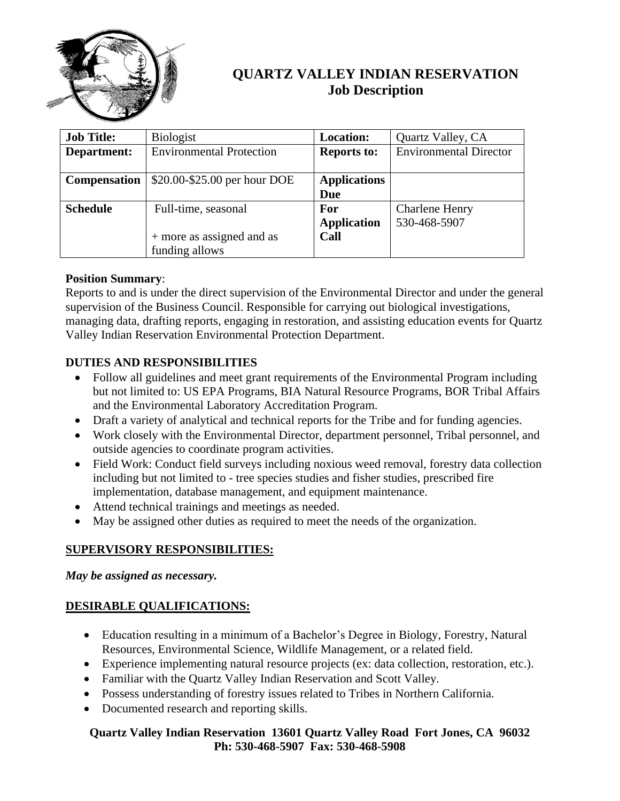

# **QUARTZ VALLEY INDIAN RESERVATION Job Description**

| <b>Job Title:</b>   | <b>Biologist</b>                | <b>Location:</b>    | Quartz Valley, CA             |
|---------------------|---------------------------------|---------------------|-------------------------------|
| Department:         | <b>Environmental Protection</b> | <b>Reports to:</b>  | <b>Environmental Director</b> |
|                     |                                 |                     |                               |
| <b>Compensation</b> | \$20.00-\$25.00 per hour DOE    | <b>Applications</b> |                               |
|                     |                                 | Due                 |                               |
| <b>Schedule</b>     | Full-time, seasonal             | <b>For</b>          | <b>Charlene Henry</b>         |
|                     |                                 | <b>Application</b>  | 530-468-5907                  |
|                     | + more as assigned and as       | Call                |                               |
|                     | funding allows                  |                     |                               |

#### **Position Summary**:

Reports to and is under the direct supervision of the Environmental Director and under the general supervision of the Business Council. Responsible for carrying out biological investigations, managing data, drafting reports, engaging in restoration, and assisting education events for Quartz Valley Indian Reservation Environmental Protection Department.

## **DUTIES AND RESPONSIBILITIES**

- Follow all guidelines and meet grant requirements of the Environmental Program including but not limited to: US EPA Programs, BIA Natural Resource Programs, BOR Tribal Affairs and the Environmental Laboratory Accreditation Program.
- Draft a variety of analytical and technical reports for the Tribe and for funding agencies.
- Work closely with the Environmental Director, department personnel, Tribal personnel, and outside agencies to coordinate program activities.
- Field Work: Conduct field surveys including noxious weed removal, forestry data collection including but not limited to - tree species studies and fisher studies, prescribed fire implementation, database management, and equipment maintenance.
- Attend technical trainings and meetings as needed.
- May be assigned other duties as required to meet the needs of the organization.

## **SUPERVISORY RESPONSIBILITIES:**

*May be assigned as necessary.* 

## **DESIRABLE QUALIFICATIONS:**

- Education resulting in a minimum of a Bachelor's Degree in Biology, Forestry, Natural Resources, Environmental Science, Wildlife Management, or a related field.
- Experience implementing natural resource projects (ex: data collection, restoration, etc.).
- Familiar with the Quartz Valley Indian Reservation and Scott Valley.
- Possess understanding of forestry issues related to Tribes in Northern California.
- Documented research and reporting skills.

#### **Quartz Valley Indian Reservation 13601 Quartz Valley Road Fort Jones, CA 96032 Ph: 530-468-5907 Fax: 530-468-5908**